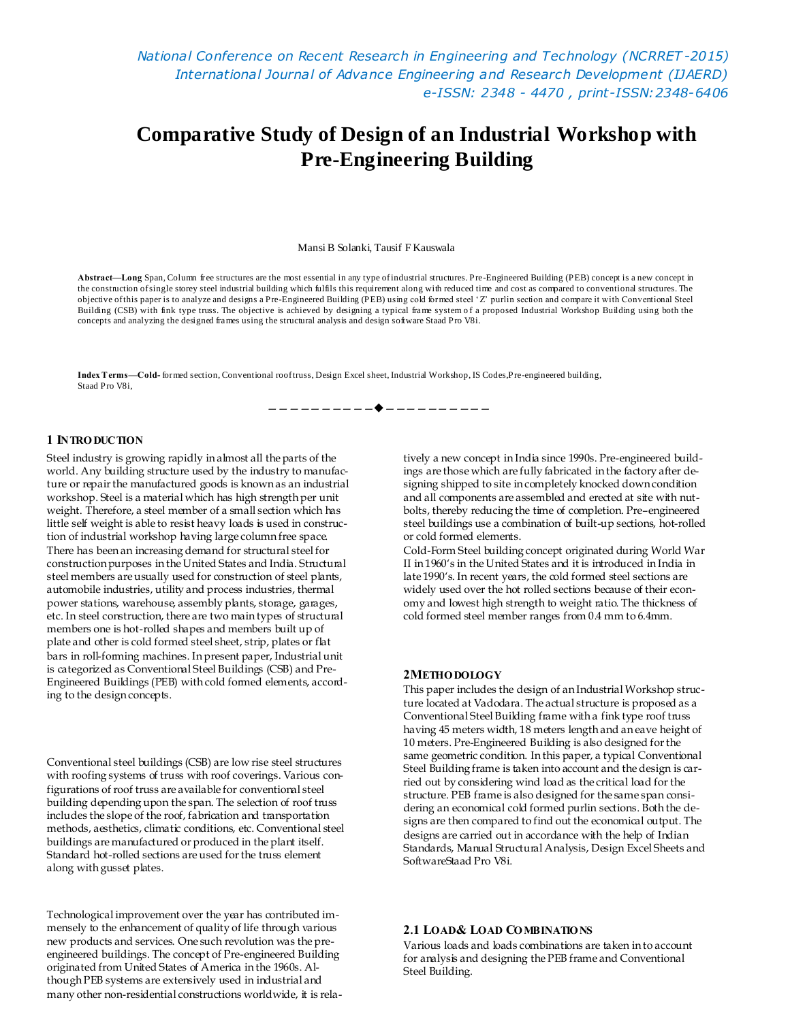*National Conference on Recent Research in Engineering and Technology (NCRRET -2015) International Journal of Advance Engineering and Research Development (IJAERD) e-ISSN: 2348 - 4470 , print-ISSN:2348-6406*

# **Comparative Study of Design of an Industrial Workshop with Pre-Engineering Building**

Mansi B Solanki, Tausif F Kauswala

**Abstract—Long** Span, Column free structures are the most essential in any type of industrial structures. Pre-Engineered Building (PEB) concept is a new concept in the construction of single storey steel industrial building which fulfils this requirement along with reduced time and cost as compared to conventional structures. The objective of this paper is to analyze and designs a Pre-Engineered Building (PEB) using cold formed steel 'Z' purlin section and compare it with Conventional Steel Building (CSB) with fink type truss. The objective is achieved by designing a typical frame system of a proposed Industrial Workshop Building using both the concepts and analyzing the designed frames using the structural analysis and design software Staad Pro V8i.

————————————————————

**Index Terms—Cold-** formed section, Conventional roof truss, Design Excel sheet, Industrial Workshop, IS Codes,Pre-engineered building, Staad Pro V8i,

## **1 INTRO DUCTION**

Steel industry is growing rapidly in almost all the parts of the world. Any building structure used by the industry to manufacture or repair the manufactured goods is known as an industrial workshop. Steel is a material which has high strength per unit weight. Therefore, a steel member of a small section which has little self weight is able to resist heavy loads is used in construction of industrial workshop having large column free space. There has been an increasing demand for structural steel for construction purposes in the United States and India. Structural steel members are usually used for construction of steel plants, automobile industries, utility and process industries, thermal power stations, warehouse, assembly plants, storage, garages, etc. In steel construction, there are two main types of structural members one is hot-rolled shapes and members built up of plate and other is cold formed steel sheet, strip, plates or flat bars in roll-forming machines. In present paper, Industrial unit is categorized as Conventional Steel Buildings (CSB) and Pre-Engineered Buildings (PEB) with cold formed elements, according to the design concepts.

Conventional steel buildings (CSB) are low rise steel structures with roofing systems of truss with roof coverings. Various configurations of roof truss are available for conventional steel building depending upon the span. The selection of roof truss includes the slope of the roof, fabrication and transportation methods, aesthetics, climatic conditions, etc. Conventional steel buildings are manufactured or produced in the plant itself. Standard hot-rolled sections are used for the truss element along with gusset plates.

Technological improvement over the year has contributed immensely to the enhancement of quality of life through various new products and services. One such revolution was the preengineered buildings. The concept of Pre-engineered Building originated from United States of America in the 1960s. Although PEB systems are extensively used in industrial and many other non-residential constructions worldwide, it is relatively a new concept in India since 1990s. Pre-engineered buildings are those which are fully fabricated in the factory after designing shipped to site in completely knocked down condition and all components are assembled and erected at site with nutbolts, thereby reducing the time of completion. Pre–engineered steel buildings use a combination of built-up sections, hot-rolled or cold formed elements.

Cold-Form Steel building concept originated during World War II in 1960's in the United States and it is introduced in India in late 1990's. In recent years, the cold formed steel sections are widely used over the hot rolled sections because of their economy and lowest high strength to weight ratio. The thickness of cold formed steel member ranges from 0.4 mm to 6.4mm.

#### **2METHO DOLOGY**

This paper includes the design of an Industrial Workshop structure located at Vadodara. The actual structure is proposed as a Conventional Steel Building frame with a fink type roof truss having 45 meters width, 18 meters length and an eave height of 10 meters. Pre-Engineered Building is also designed for the same geometric condition. In this paper, a typical Conventional Steel Building frame is taken into account and the design is carried out by considering wind load as the critical load for the structure. PEB frame is also designed for the same span considering an economical cold formed purlin sections. Both the designs are then compared to find out the economical output. The designs are carried out in accordance with the help of Indian Standards, Manual Structural Analysis, Design Excel Sheets and SoftwareStaad Pro V8i.

## **2.1 LOAD& LOAD CO MBINATIO NS**

Various loads and loads combinations are taken in to account for analysis and designing the PEB frame and Conventional Steel Building.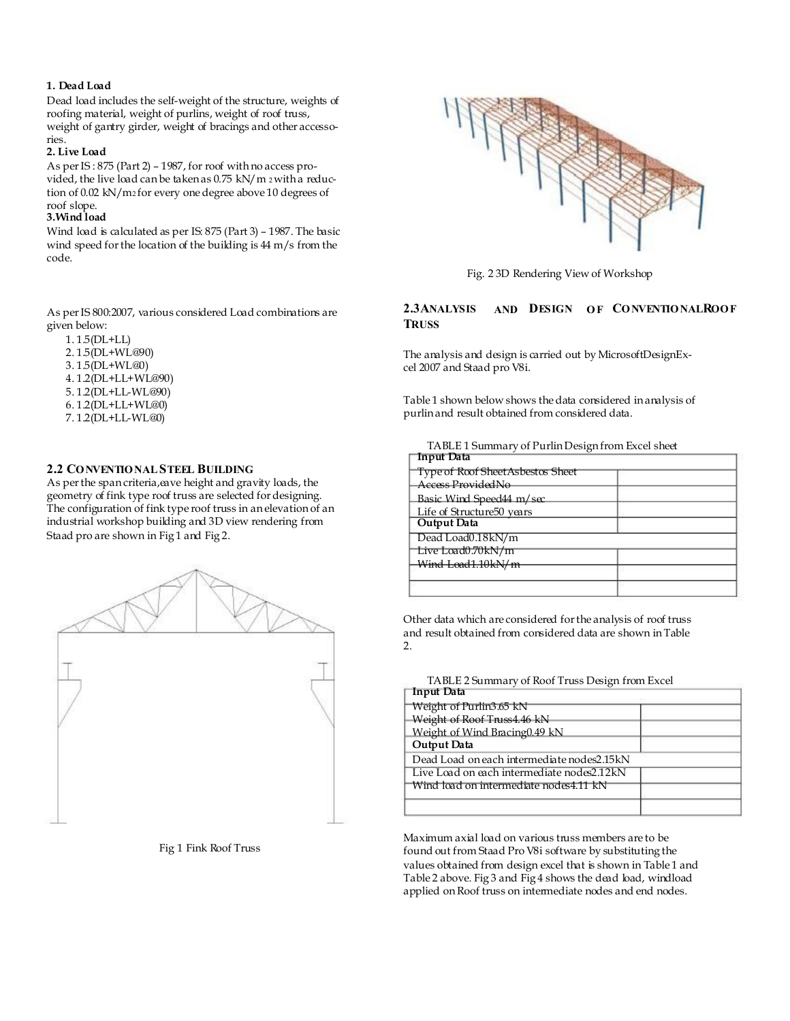# **1. Dead Load**

Dead load includes the self-weight of the structure, weights of roofing material, weight of purlins, weight of roof truss, weight of gantry girder, weight of bracings and other accessories.

# **2. Live Load**

As per IS : 875 (Part 2) – 1987, for roof with no access provided, the live load can be taken as 0.75 kN/m 2 with a reduction of 0.02 kN/m2 for every one degree above 10 degrees of roof slope.

# **3.Wind load**

Wind load is calculated as per IS: 875 (Part 3) – 1987. The basic wind speed for the location of the building is 44 m/s from the code.

As per IS 800:2007, various considered Load combinations are given below:

 1. 1.5(DL+LL) 2. 1.5(DL+WL@90) 3. 1.5(DL+WL@0) 4. 1.2(DL+LL+WL@90) 5. 1.2(DL+LL-WL@90) 6. 1.2(DL+LL+WL@0) 7. 1.2(DL+LL-WL@0)

# **2.2 CO NVENTIO NAL STEEL BUILDING**

As per the span criteria, eave height and gravity loads, the geometry of fink type roof truss are selected for designing. The configuration of fink type roof truss in an elevation of an industrial workshop building and 3D view rendering from Staad pro are shown in Fig 1 and Fig 2.







Fig. 2 3D Rendering View of Workshop

#### **2.3ANALYSIS TRUSS AND DESIGN O F CO NVENTIO NALROO F**

The analysis and design is carried out by MicrosoftDesignExcel 2007 and Staad pro V8i.

Table 1 shown below shows the data considered in analysis of purlin and result obtained from considered data.

TABLE 1 Summary of Purlin Design from Excel sheet

| Input Data                        |  |
|-----------------------------------|--|
| Type of Roof Sheet Asbestos Sheet |  |
| Access ProvidedNo                 |  |
| Basic Wind Speed44 m/sec          |  |
| Life of Structure50 years         |  |
| Output Data                       |  |
| Dead Load0.18kN/m                 |  |
| Live Load0.70kN/m                 |  |
| Wind Load1.10kN/m                 |  |
|                                   |  |
|                                   |  |

Other data which are considered for the analysis of roof truss and result obtained from considered data are shown in Table 2.

TABLE 2 Summary of Roof Truss Design from Excel

| Input Data                                 |  |
|--------------------------------------------|--|
| Weight of Purlin3.65 kN                    |  |
| Weight of Roof Truss4.46 kN                |  |
| Weight of Wind Bracing0.49 kN              |  |
| Output Data                                |  |
| Dead Load on each intermediate nodes2.15kN |  |
| Live Load on each intermediate nodes2.12kN |  |
| Wind load on intermediate nodes4.11 kN     |  |
|                                            |  |
|                                            |  |

Maximum axial load on various truss members are to be found out from Staad Pro V8i software by substituting the values obtained from design excel that is shown in Table 1 and Table 2 above. Fig 3 and Fig 4 shows the dead load, windload applied on Roof truss on intermediate nodes and end nodes.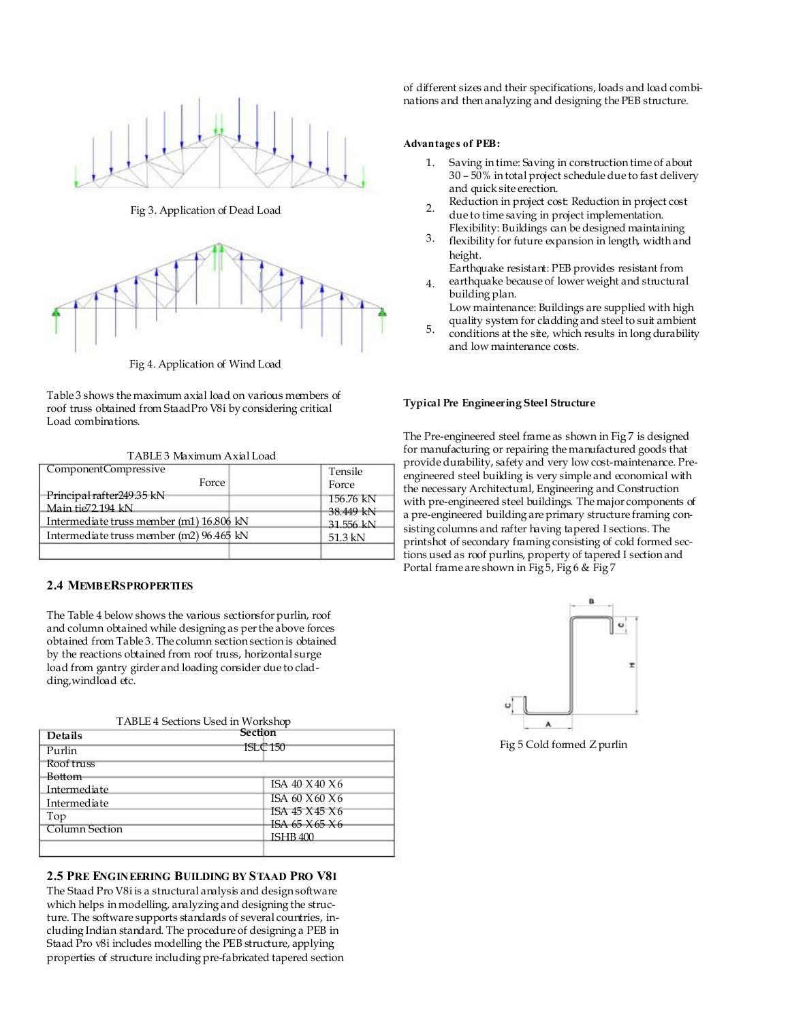

Fig 3. Application of Dead Load 2.



Fig 4. Application of Wind Load

Table 3 shows the maximum axial load on various members of roof truss obtained from StaadPro V8i by considering critical Load combinations.

TABLE 3 Maximum Axial Load

| ComponentCompressive                     | Tensile   |
|------------------------------------------|-----------|
| Force                                    | Force     |
| Principal rafter249.35 kN                | 156.76 kN |
| Main tie 72.194 kN                       | 38.449 kN |
| Intermediate truss member (m1) 16.806 kN | 31.556 kN |
| Intermediate truss member (m2) 96.465 kN | $51.3$ kN |
|                                          |           |

# **2.4 MEMBERSPROPERTIES**

The Table 4 below shows the various sectionsfor purlin, roof and column obtained while designing as per the above forces obtained from Table 3. The column section section is obtained by the reactions obtained from roof truss, horizontal surge load from gantry girder and loading consider due to cladding,windload etc.

| TABLE 4 Sections Used in Workshop |  |  |
|-----------------------------------|--|--|
|                                   |  |  |

| <b>Details</b>        | Section             |
|-----------------------|---------------------|
| Purlin                | <b>ISLC 150</b>     |
| Roof truss            |                     |
| Bottom                |                     |
| Intermediate          | ISA 40 X 40 X 6     |
| Intermediate          | ISA 60 $X$ 60 $X$ 6 |
| Top                   | ISA 45 X 45 X 6     |
|                       | ISA 65 X 65 X 6     |
| <b>Column Section</b> | <b>ISHB 400</b>     |
|                       |                     |

# **2.5 PRE ENGINEERING BUILDING BY STAAD PRO V8I**

The Staad Pro V8i is a structural analysis and design software which helps in modelling, analyzing and designing the structure. The software supports standards of several countries, including Indian standard. The procedure of designing a PEB in Staad Pro v8i includes modelling the PEB structure, applying properties of structure including pre-fabricated tapered section of different sizes and their specifications, loads and load combinations and then analyzing and designing the PEB structure.

#### **Advantages of PEB:**

- 1. Saving in time: Saving in construction time of about 30 – 50% in total project schedule due to fast delivery and quick site erection.
- Reduction in project cost: Reduction in project cost due to time saving in project implementation.
- Flexibility: Buildings can be designed maintaining flexibility for future expansion in length, width and height. 3.
	- Earthquake resistant: PEB provides resistant from
- earthquake because of lower weight and structural building plan. 4.
	- Low maintenance: Buildings are supplied with high quality system for cladding and steel to suit ambient
- conditions at the site, which results in long durability and low maintenance costs. 5.

### **Typical Pre Engineering Steel Structure**

The Pre-engineered steel frame as shown in Fig 7 is designed for manufacturing or repairing the manufactured goods that provide durability, safety and very low cost-maintenance. Preengineered steel building is very simple and economical with the necessary Architectural, Engineering and Construction with pre-engineered steel buildings. The major components of a pre-engineered building are primary structure framing consisting columns and rafter having tapered I sections. The printshot of secondary framing consisting of cold formed sections used as roof purlins, property of tapered I section and Portal frame are shown in Fig 5, Fig 6 & Fig 7



Fig 5 Cold formed Z purlin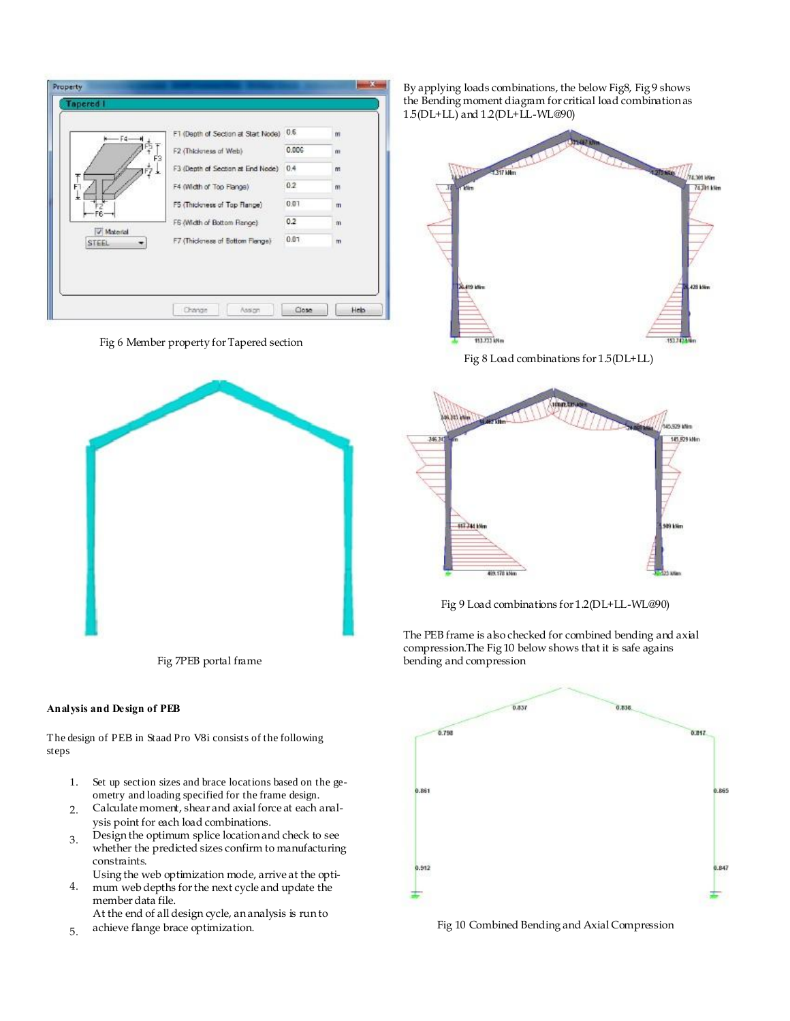| $+ - 4 - 4$         | F1 (Depth of Section at Start Node). | 0.6   | m             |
|---------------------|--------------------------------------|-------|---------------|
| F3                  | F2 (Thickness of Web)                | 0.006 | m             |
|                     | F3 (Depth of Section at End Node)    | 0.4   | m             |
| F٦                  | F4 (Width of Top Flange)             | 0.2   | m             |
| 土                   | F5 (Thickness of Top Flange)         | 0.07  | $\mathbf{m}$  |
| F6-                 | F6 (Width of Bottom Flange)          | 0.2   | m             |
| V Material<br>STEEL | F7 (Thickness of Bottom Flange)      | 0.07  | $^{\text{m}}$ |

Fig 6 Member property for Tapered section



#### **Analysis and Design of PEB**

The design of PEB in Staad Pro V8i consists of the following steps

- 1. Set up section sizes and brace locations based on the geometry and loading specified for the frame design.
- 2. Calculate moment, shear and axial force at each analysis point for each load combinations.
- 3. Design the optimum splice location and check to see whether the predicted sizes confirm to manufacturing constraints.
- 4. Using the web optimization mode, arrive at the optimum web depths for the next cycle and update the
- member data file. At the end of all design cycle, an analysis is run to
- 5.

By applying loads combinations, the below Fig8, Fig 9 shows the Bending moment diagram for critical load combination as 1.5(DL+LL) and 1.2(DL+LL-WL@90)



Fig 8 Load combinations for 1.5(DL+LL)



Fig 9 Load combinations for 1.2(DL+LL-WL@90)

The PEB frame is also checked for combined bending and axial compression.The Fig 10 below shows that it is safe agains Fig 7PEB portal frame bending and compression



achieve flange brace optimization. Fig 10 Combined Bending and Axial Compression